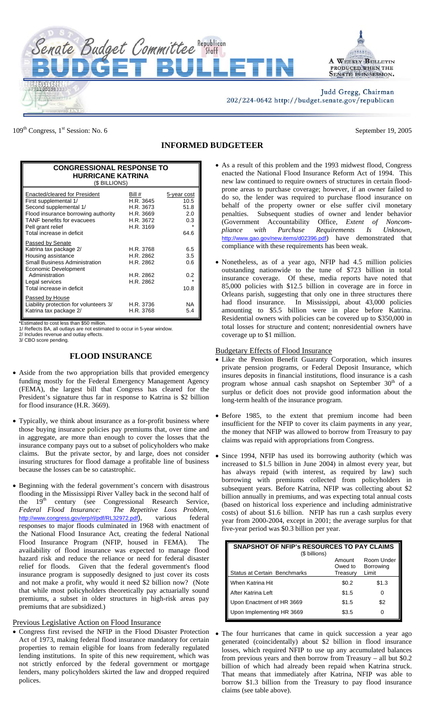

109<sup>th</sup> Congress, 1<sup>st</sup> Session: No. 6 September 19, 2005

## **INFORMED BUDGETEER**

| <b>CONGRESSIONAL RESPONSE TO</b><br><b>HURRICANE KATRINA</b><br>(\$ BILLIONS)                                                                                                                                  |                                                                         |                                                   |  |
|----------------------------------------------------------------------------------------------------------------------------------------------------------------------------------------------------------------|-------------------------------------------------------------------------|---------------------------------------------------|--|
| Enacted/cleared for President<br>First supplemental 1/<br>Second supplemental 1/<br>Flood insurance borrowing authority<br><b>TANF</b> benefits for evacuees<br>Pell grant relief<br>Total increase in deficit | Bill #<br>H.R. 3645<br>H.R. 3673<br>H.R. 3669<br>H.R. 3672<br>H.R. 3169 | 5-year cost<br>10.5<br>51.8<br>2.0<br>0.3<br>64.6 |  |
| Passed by Senate<br>Katrina tax package 2/<br>Housing assistance<br><b>Small Business Administration</b><br>Economic Development<br>Administration<br>Legal services<br>Total increase in deficit              | H.R. 3768<br>H.R. 2862<br>H.R. 2862<br>H.R. 2862<br>H.R. 2862           | 6.5<br>3.5<br>0.6<br>0.2<br>10.8                  |  |
| Passed by House<br>Liability protection for volunteers 3/<br>Katrina tax package 2/                                                                                                                            | H.R. 3736<br>H.R. 3768                                                  | NA<br>5.4                                         |  |

\*Estimated to cost less than \$50 million.

1/ Reflects BA, all outlays are not estimated to occur in 5-year window.

2/ Includes revenue and outlay effects.

3/ CBO score pending.

## **FLOOD INSURANCE**

- Aside from the two appropriation bills that provided emergency funding mostly for the Federal Emergency Management Agency (FEMA), the largest bill that Congress has cleared for the President's signature thus far in response to Katrina is \$2 billion for flood insurance (H.R. 3669).
- Typically, we think about insurance as a for-profit business where those buying insurance policies pay premiums that, over time and in aggregate, are more than enough to cover the losses that the insurance company pays out to a subset of policyholders who make claims. But the private sector, by and large, does not consider insuring structures for flood damage a profitable line of business because the losses can be so catastrophic.
- Beginning with the federal government's concern with disastrous flooding in the Mississippi River Valley back in the second half of the 19<sup>th</sup> century (see Congressional Research Service, *Federal Flood Insurance: The Repetitive Loss Problem*, The Repetitive Loss Problem, http://www.congress.gov/erp/rl/pdf/RL32972.pdf), various federal responses to major floods culminated in 1968 with enactment of the National Flood Insurance Act, creating the federal National Flood Insurance Program (NFIP, housed in FEMA). The availability of flood insurance was expected to manage flood hazard risk and reduce the reliance or need for federal disaster relief for floods. Given that the federal government's flood insurance program is supposedly designed to just cover its costs and not make a profit, why would it need \$2 billion now? (Note that while most policyholders theoretically pay actuarially sound premiums, a subset in older structures in high-risk areas pay premiums that are subsidized.)

## Previous Legislative Action on Flood Insurance

• Congress first revised the NFIP in the Flood Disaster Protection Act of 1973, making federal flood insurance mandatory for certain properties to remain eligible for loans from federally regulated lending institutions. In spite of this new requirement, which was not strictly enforced by the federal government or mortgage lenders, many policyholders skirted the law and dropped required polices.

- As a result of this problem and the 1993 midwest flood, Congress enacted the National Flood Insurance Reform Act of 1994. This new law continued to require owners of structures in certain floodprone areas to purchase coverage; however, if an owner failed to do so, the lender was required to purchase flood insurance on behalf of the property owner or else suffer civil monetary penalties. Subsequent studies of owner and lender behavior (Government Accountability Office, *Extent of Noncom-Requirements Is* http://www.gao.gov/new.items/d02396.pdf) have demonstrated that compliance with these requirements has been weak.
- Nonetheless, as of a year ago, NFIP had 4.5 million policies outstanding nationwide to the tune of \$723 billion in total insurance coverage. Of these, media reports have noted that 85,000 policies with \$12.5 billion in coverage are in force in Orleans parish, suggesting that only one in three structures there had flood insurance. In Mississippi, about 43,000 policies amounting to \$5.5 billion were in place before Katrina. Residential owners with policies can be covered up to \$350,000 in total losses for structure and content; nonresidential owners have coverage up to \$1 million.

## Budgetary Effects of Flood Insurance

- Like the Pension Benefit Guaranty Corporation, which insures private pension programs, or Federal Deposit Insurance, which insures deposits in financial institutions, flood insurance is a cash program whose annual cash snapshot on September 30<sup>th</sup> of a surplus or deficit does not provide good information about the long-term health of the insurance program.
- Before 1985, to the extent that premium income had been insufficient for the NFIP to cover its claim payments in any year, the money that NFIP was allowed to borrow from Treasury to pay claims was repaid with appropriations from Congress.
- Since 1994, NFIP has used its borrowing authority (which was increased to \$1.5 billion in June 2004) in almost every year, but has always repaid (with interest, as required by law) such borrowing with premiums collected from policyholders in subsequent years. Before Katrina, NFIP was collecting about \$2 billion annually in premiums, and was expecting total annual costs (based on historical loss experience and including administrative costs) of about \$1.6 billion. NFIP has run a cash surplus every year from 2000-2004, except in 2001; the average surplus for that five-year period was \$0.3 billion per year.

| SNAPSHOT OF NFIP's RESOURCES TO PAY CLAIMS<br>(\$ billions) |                               |                                  |  |
|-------------------------------------------------------------|-------------------------------|----------------------------------|--|
| Status at Certain Benchmarks                                | Amount<br>Owed to<br>Treasury | Room Under<br>Borrowing<br>Limit |  |
| When Katrina Hit                                            | \$0.2                         | \$1.3                            |  |
| After Katrina Left                                          | \$1.5                         | $\mathbf{0}$                     |  |
| Upon Enactment of HR 3669                                   | \$1.5                         | \$2                              |  |
| Upon Implementing HR 3669                                   | \$3.5                         |                                  |  |

• The four hurricanes that came in quick succession a year ago generated (coincidentally) about \$2 billion in flood insurance losses, which required NFIP to use up any accumulated balances from previous years and then borrow from Treasury – all but \$0.2 billion of which had already been repaid when Katrina struck. That means that immediately after Katrina, NFIP was able to borrow \$1.3 billion from the Treasury to pay flood insurance claims (see table above).